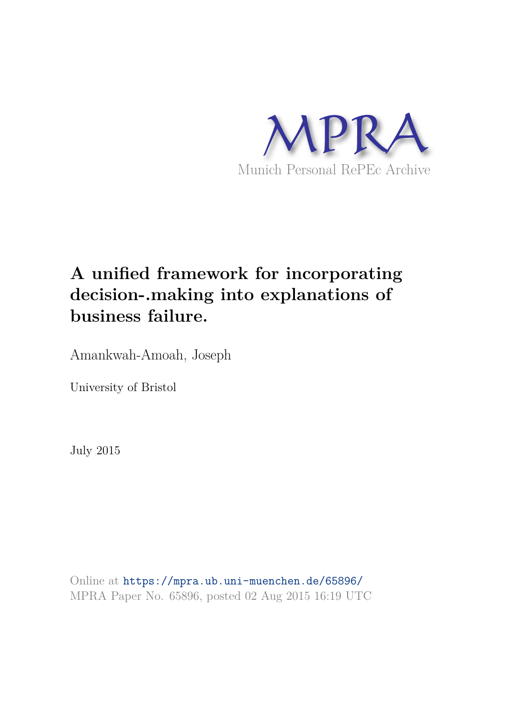

# **A unified framework for incorporating decision-.making into explanations of business failure.**

Amankwah-Amoah, Joseph

University of Bristol

July 2015

Online at https://mpra.ub.uni-muenchen.de/65896/ MPRA Paper No. 65896, posted 02 Aug 2015 16:19 UTC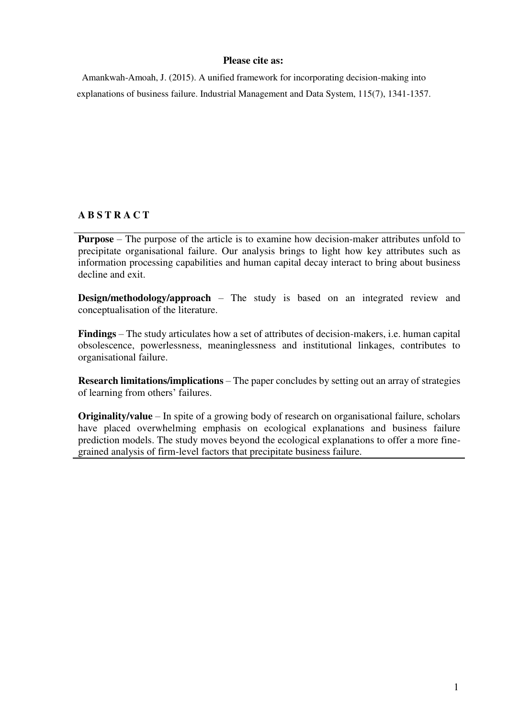## **Please cite as:**

Amankwah-Amoah, J. (2015). A unified framework for incorporating decision-making into explanations of business failure. Industrial Management and Data System, 115(7), 1341-1357.

## **A B S T R A C T**

**Purpose** – The purpose of the article is to examine how decision-maker attributes unfold to precipitate organisational failure. Our analysis brings to light how key attributes such as information processing capabilities and human capital decay interact to bring about business decline and exit.

**Design/methodology/approach** – The study is based on an integrated review and conceptualisation of the literature.

**Findings** – The study articulates how a set of attributes of decision-makers, i.e. human capital obsolescence, powerlessness, meaninglessness and institutional linkages, contributes to organisational failure.

**Research limitations/implications** – The paper concludes by setting out an array of strategies of learning from others' failures.

**Originality/value** – In spite of a growing body of research on organisational failure, scholars have placed overwhelming emphasis on ecological explanations and business failure prediction models. The study moves beyond the ecological explanations to offer a more finegrained analysis of firm-level factors that precipitate business failure.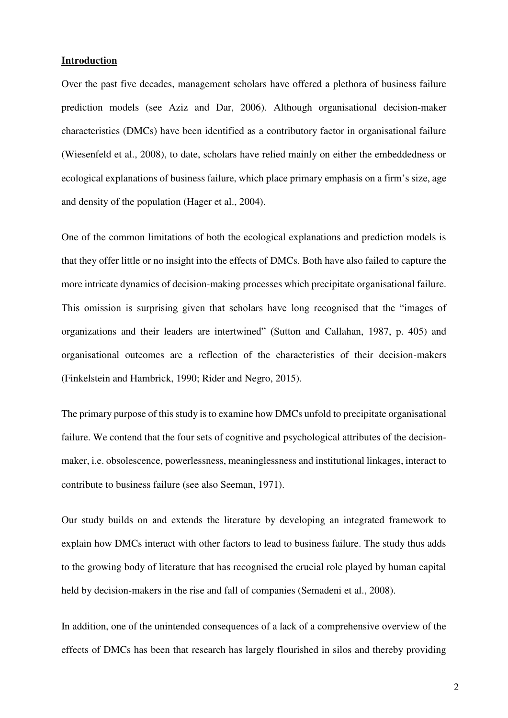## **Introduction**

Over the past five decades, management scholars have offered a plethora of business failure prediction models (see Aziz and Dar, 2006). Although organisational decision-maker characteristics (DMCs) have been identified as a contributory factor in organisational failure (Wiesenfeld et al., 2008), to date, scholars have relied mainly on either the embeddedness or ecological explanations of business failure, which place primary emphasis on a firm's size, age and density of the population (Hager et al., 2004).

One of the common limitations of both the ecological explanations and prediction models is that they offer little or no insight into the effects of DMCs. Both have also failed to capture the more intricate dynamics of decision-making processes which precipitate organisational failure. This omission is surprising given that scholars have long recognised that the "images of organizations and their leaders are intertwined" (Sutton and Callahan, 1987, p. 405) and organisational outcomes are a reflection of the characteristics of their decision-makers (Finkelstein and Hambrick, 1990; Rider and Negro, 2015).

The primary purpose of this study is to examine how DMCs unfold to precipitate organisational failure. We contend that the four sets of cognitive and psychological attributes of the decisionmaker, i.e. obsolescence, powerlessness, meaninglessness and institutional linkages, interact to contribute to business failure (see also Seeman, 1971).

Our study builds on and extends the literature by developing an integrated framework to explain how DMCs interact with other factors to lead to business failure. The study thus adds to the growing body of literature that has recognised the crucial role played by human capital held by decision-makers in the rise and fall of companies (Semadeni et al., 2008).

In addition, one of the unintended consequences of a lack of a comprehensive overview of the effects of DMCs has been that research has largely flourished in silos and thereby providing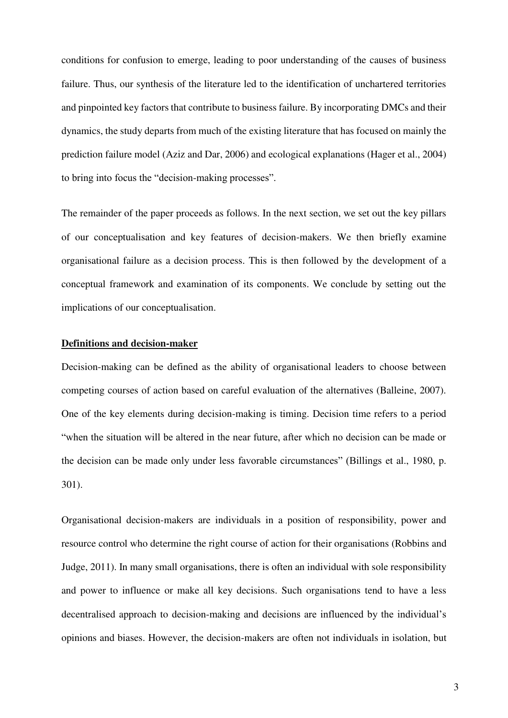conditions for confusion to emerge, leading to poor understanding of the causes of business failure. Thus, our synthesis of the literature led to the identification of unchartered territories and pinpointed key factors that contribute to business failure. By incorporating DMCs and their dynamics, the study departs from much of the existing literature that has focused on mainly the prediction failure model (Aziz and Dar, 2006) and ecological explanations (Hager et al., 2004) to bring into focus the "decision-making processes".

The remainder of the paper proceeds as follows. In the next section, we set out the key pillars of our conceptualisation and key features of decision-makers. We then briefly examine organisational failure as a decision process. This is then followed by the development of a conceptual framework and examination of its components. We conclude by setting out the implications of our conceptualisation.

## **Definitions and decision-maker**

Decision-making can be defined as the ability of organisational leaders to choose between competing courses of action based on careful evaluation of the alternatives (Balleine, 2007). One of the key elements during decision-making is timing. Decision time refers to a period "when the situation will be altered in the near future, after which no decision can be made or the decision can be made only under less favorable circumstances" (Billings et al., 1980, p. 301).

Organisational decision-makers are individuals in a position of responsibility, power and resource control who determine the right course of action for their organisations (Robbins and Judge, 2011). In many small organisations, there is often an individual with sole responsibility and power to influence or make all key decisions. Such organisations tend to have a less decentralised approach to decision-making and decisions are influenced by the individual's opinions and biases. However, the decision-makers are often not individuals in isolation, but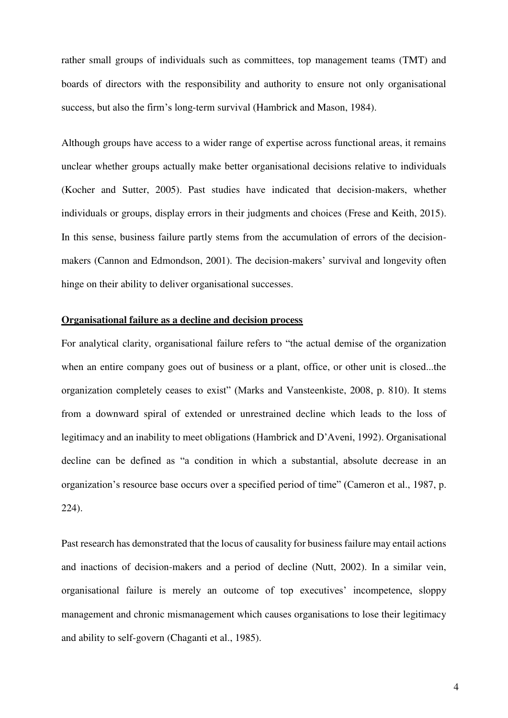rather small groups of individuals such as committees, top management teams (TMT) and boards of directors with the responsibility and authority to ensure not only organisational success, but also the firm's long-term survival (Hambrick and Mason, 1984).

Although groups have access to a wider range of expertise across functional areas, it remains unclear whether groups actually make better organisational decisions relative to individuals (Kocher and Sutter, 2005). Past studies have indicated that decision-makers, whether individuals or groups, display errors in their judgments and choices (Frese and Keith, 2015). In this sense, business failure partly stems from the accumulation of errors of the decisionmakers (Cannon and Edmondson, 2001). The decision-makers' survival and longevity often hinge on their ability to deliver organisational successes.

## **Organisational failure as a decline and decision process**

For analytical clarity, organisational failure refers to "the actual demise of the organization when an entire company goes out of business or a plant, office, or other unit is closed...the organization completely ceases to exist" (Marks and Vansteenkiste, 2008, p. 810). It stems from a downward spiral of extended or unrestrained decline which leads to the loss of legitimacy and an inability to meet obligations (Hambrick and D'Aveni, 1992). Organisational decline can be defined as "a condition in which a substantial, absolute decrease in an organization's resource base occurs over a specified period of time" (Cameron et al., 1987, p. 224).

Past research has demonstrated that the locus of causality for business failure may entail actions and inactions of decision-makers and a period of decline (Nutt, 2002). In a similar vein, organisational failure is merely an outcome of top executives' incompetence, sloppy management and chronic mismanagement which causes organisations to lose their legitimacy and ability to self-govern (Chaganti et al., 1985).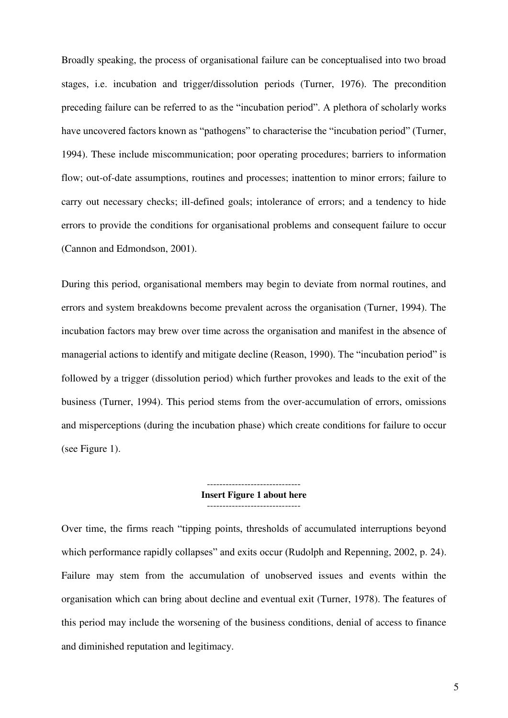Broadly speaking, the process of organisational failure can be conceptualised into two broad stages, i.e. incubation and trigger/dissolution periods (Turner, 1976). The precondition preceding failure can be referred to as the "incubation period". A plethora of scholarly works have uncovered factors known as "pathogens" to characterise the "incubation period" (Turner, 1994). These include miscommunication; poor operating procedures; barriers to information flow; out-of-date assumptions, routines and processes; inattention to minor errors; failure to carry out necessary checks; ill-defined goals; intolerance of errors; and a tendency to hide errors to provide the conditions for organisational problems and consequent failure to occur (Cannon and Edmondson, 2001).

During this period, organisational members may begin to deviate from normal routines, and errors and system breakdowns become prevalent across the organisation (Turner, 1994). The incubation factors may brew over time across the organisation and manifest in the absence of managerial actions to identify and mitigate decline (Reason, 1990). The "incubation period" is followed by a trigger (dissolution period) which further provokes and leads to the exit of the business (Turner, 1994). This period stems from the over-accumulation of errors, omissions and misperceptions (during the incubation phase) which create conditions for failure to occur (see Figure 1).

### ------------------------------ **Insert Figure 1 about here**  ------------------------------

Over time, the firms reach "tipping points, thresholds of accumulated interruptions beyond which performance rapidly collapses" and exits occur (Rudolph and Repenning, 2002, p. 24). Failure may stem from the accumulation of unobserved issues and events within the organisation which can bring about decline and eventual exit (Turner, 1978). The features of this period may include the worsening of the business conditions, denial of access to finance and diminished reputation and legitimacy.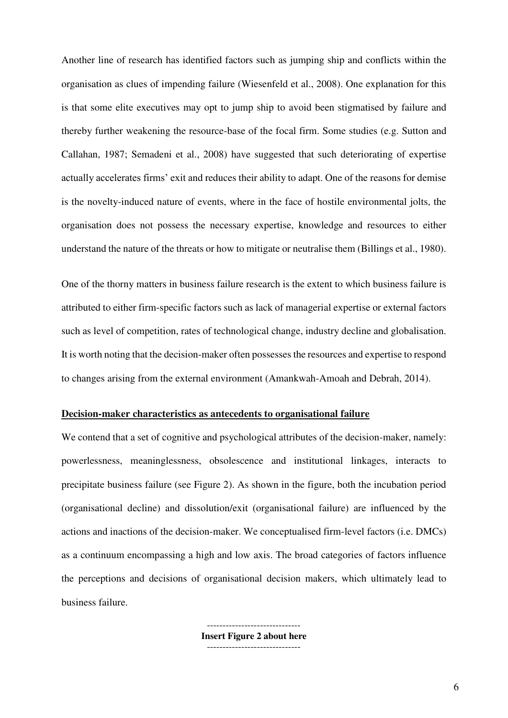Another line of research has identified factors such as jumping ship and conflicts within the organisation as clues of impending failure (Wiesenfeld et al., 2008). One explanation for this is that some elite executives may opt to jump ship to avoid been stigmatised by failure and thereby further weakening the resource-base of the focal firm. Some studies (e.g. Sutton and Callahan, 1987; Semadeni et al., 2008) have suggested that such deteriorating of expertise actually accelerates firms' exit and reduces their ability to adapt. One of the reasons for demise is the novelty-induced nature of events, where in the face of hostile environmental jolts, the organisation does not possess the necessary expertise, knowledge and resources to either understand the nature of the threats or how to mitigate or neutralise them (Billings et al., 1980).

One of the thorny matters in business failure research is the extent to which business failure is attributed to either firm-specific factors such as lack of managerial expertise or external factors such as level of competition, rates of technological change, industry decline and globalisation. It is worth noting that the decision-maker often possesses the resources and expertise to respond to changes arising from the external environment (Amankwah-Amoah and Debrah, 2014).

## **Decision-maker characteristics as antecedents to organisational failure**

We contend that a set of cognitive and psychological attributes of the decision-maker, namely: powerlessness, meaninglessness, obsolescence and institutional linkages, interacts to precipitate business failure (see Figure 2). As shown in the figure, both the incubation period (organisational decline) and dissolution/exit (organisational failure) are influenced by the actions and inactions of the decision-maker. We conceptualised firm-level factors (i.e. DMCs) as a continuum encompassing a high and low axis. The broad categories of factors influence the perceptions and decisions of organisational decision makers, which ultimately lead to business failure.

> ------------------------------ **Insert Figure 2 about here**  ------------------------------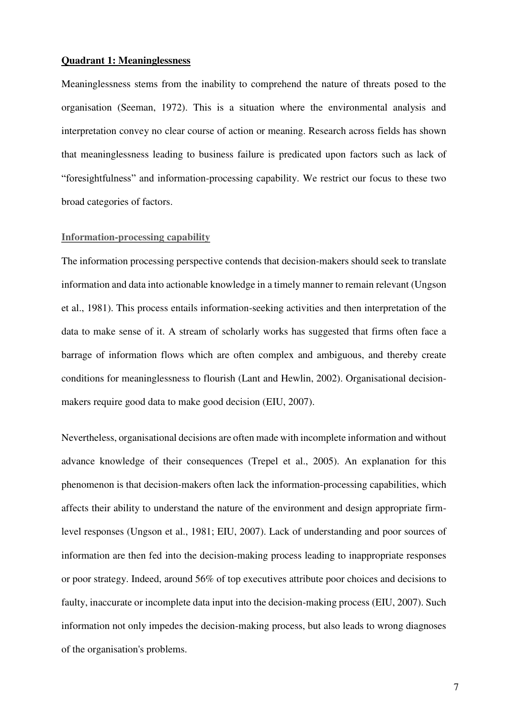## **Quadrant 1: Meaninglessness**

Meaninglessness stems from the inability to comprehend the nature of threats posed to the organisation (Seeman, 1972). This is a situation where the environmental analysis and interpretation convey no clear course of action or meaning. Research across fields has shown that meaninglessness leading to business failure is predicated upon factors such as lack of "foresightfulness" and information-processing capability. We restrict our focus to these two broad categories of factors.

## **Information-processing capability**

The information processing perspective contends that decision-makers should seek to translate information and data into actionable knowledge in a timely manner to remain relevant (Ungson et al., 1981). This process entails information-seeking activities and then interpretation of the data to make sense of it. A stream of scholarly works has suggested that firms often face a barrage of information flows which are often complex and ambiguous, and thereby create conditions for meaninglessness to flourish (Lant and Hewlin, 2002). Organisational decisionmakers require good data to make good decision (EIU, 2007).

Nevertheless, organisational decisions are often made with incomplete information and without advance knowledge of their consequences (Trepel et al., 2005). An explanation for this phenomenon is that decision-makers often lack the information-processing capabilities, which affects their ability to understand the nature of the environment and design appropriate firmlevel responses (Ungson et al., 1981; EIU, 2007). Lack of understanding and poor sources of information are then fed into the decision-making process leading to inappropriate responses or poor strategy. Indeed, around 56% of top executives attribute poor choices and decisions to faulty, inaccurate or incomplete data input into the decision-making process (EIU, 2007). Such information not only impedes the decision-making process, but also leads to wrong diagnoses of the organisation's problems.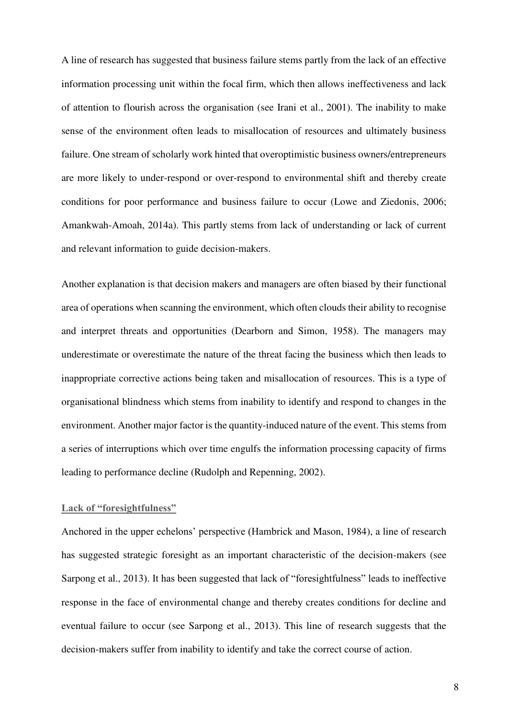A line of research has suggested that business failure stems partly from the lack of an effective information processing unit within the focal firm, which then allows ineffectiveness and lack of attention to flourish across the organisation (see Irani et al., 2001). The inability to make sense of the environment often leads to misallocation of resources and ultimately business failure. One stream of scholarly work hinted that overoptimistic business owners/entrepreneurs are more likely to under-respond or over-respond to environmental shift and thereby create conditions for poor performance and business failure to occur (Lowe and Ziedonis, 2006; Amankwah-Amoah, 2014a). This partly stems from lack of understanding or lack of current and relevant information to guide decision-makers.

Another explanation is that decision makers and managers are often biased by their functional area of operations when scanning the environment, which often clouds their ability to recognise and interpret threats and opportunities (Dearborn and Simon, 1958). The managers may underestimate or overestimate the nature of the threat facing the business which then leads to inappropriate corrective actions being taken and misallocation of resources. This is a type of organisational blindness which stems from inability to identify and respond to changes in the environment. Another major factor is the quantity-induced nature of the event. This stems from a series of interruptions which over time engulfs the information processing capacity of firms leading to performance decline (Rudolph and Repenning, 2002).

## **Lack of "foresightfulness"**

Anchored in the upper echelons' perspective (Hambrick and Mason, 1984), a line of research has suggested strategic foresight as an important characteristic of the decision-makers (see Sarpong et al., 2013). It has been suggested that lack of "foresightfulness" leads to ineffective response in the face of environmental change and thereby creates conditions for decline and eventual failure to occur (see Sarpong et al., 2013). This line of research suggests that the decision-makers suffer from inability to identify and take the correct course of action.

8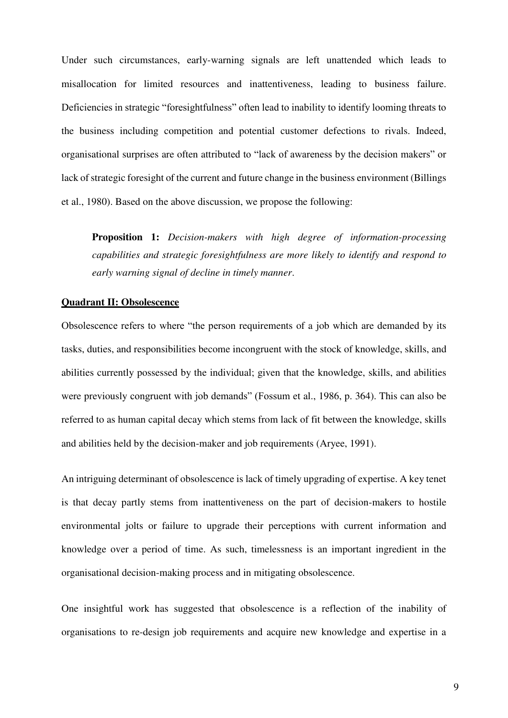Under such circumstances, early-warning signals are left unattended which leads to misallocation for limited resources and inattentiveness, leading to business failure. Deficiencies in strategic "foresightfulness" often lead to inability to identify looming threats to the business including competition and potential customer defections to rivals. Indeed, organisational surprises are often attributed to "lack of awareness by the decision makers" or lack of strategic foresight of the current and future change in the business environment (Billings et al., 1980). Based on the above discussion, we propose the following:

**Proposition 1:** *Decision-makers with high degree of information-processing capabilities and strategic foresightfulness are more likely to identify and respond to early warning signal of decline in timely manner*.

### **Quadrant II: Obsolescence**

Obsolescence refers to where "the person requirements of a job which are demanded by its tasks, duties, and responsibilities become incongruent with the stock of knowledge, skills, and abilities currently possessed by the individual; given that the knowledge, skills, and abilities were previously congruent with job demands" (Fossum et al., 1986, p. 364). This can also be referred to as human capital decay which stems from lack of fit between the knowledge, skills and abilities held by the decision-maker and job requirements (Aryee, 1991).

An intriguing determinant of obsolescence is lack of timely upgrading of expertise. A key tenet is that decay partly stems from inattentiveness on the part of decision-makers to hostile environmental jolts or failure to upgrade their perceptions with current information and knowledge over a period of time. As such, timelessness is an important ingredient in the organisational decision-making process and in mitigating obsolescence.

One insightful work has suggested that obsolescence is a reflection of the inability of organisations to re-design job requirements and acquire new knowledge and expertise in a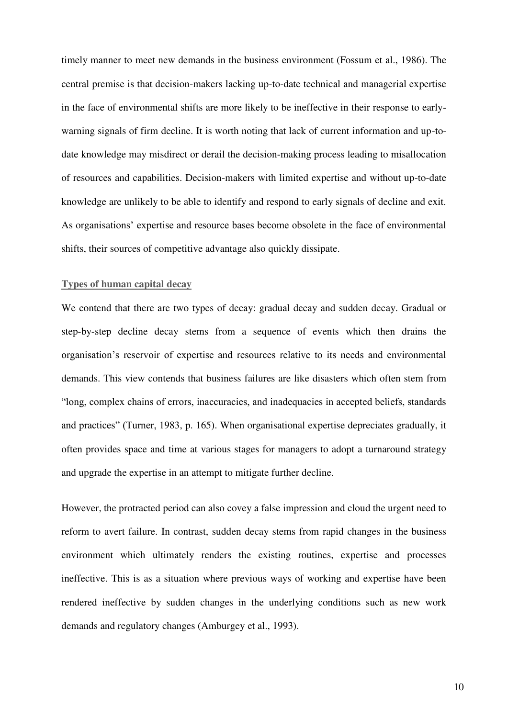timely manner to meet new demands in the business environment (Fossum et al., 1986). The central premise is that decision-makers lacking up-to-date technical and managerial expertise in the face of environmental shifts are more likely to be ineffective in their response to earlywarning signals of firm decline. It is worth noting that lack of current information and up-todate knowledge may misdirect or derail the decision-making process leading to misallocation of resources and capabilities. Decision-makers with limited expertise and without up-to-date knowledge are unlikely to be able to identify and respond to early signals of decline and exit. As organisations' expertise and resource bases become obsolete in the face of environmental shifts, their sources of competitive advantage also quickly dissipate.

## **Types of human capital decay**

We contend that there are two types of decay: gradual decay and sudden decay. Gradual or step-by-step decline decay stems from a sequence of events which then drains the organisation's reservoir of expertise and resources relative to its needs and environmental demands. This view contends that business failures are like disasters which often stem from "long, complex chains of errors, inaccuracies, and inadequacies in accepted beliefs, standards and practices" (Turner, 1983, p. 165). When organisational expertise depreciates gradually, it often provides space and time at various stages for managers to adopt a turnaround strategy and upgrade the expertise in an attempt to mitigate further decline.

However, the protracted period can also covey a false impression and cloud the urgent need to reform to avert failure. In contrast, sudden decay stems from rapid changes in the business environment which ultimately renders the existing routines, expertise and processes ineffective. This is as a situation where previous ways of working and expertise have been rendered ineffective by sudden changes in the underlying conditions such as new work demands and regulatory changes (Amburgey et al., 1993).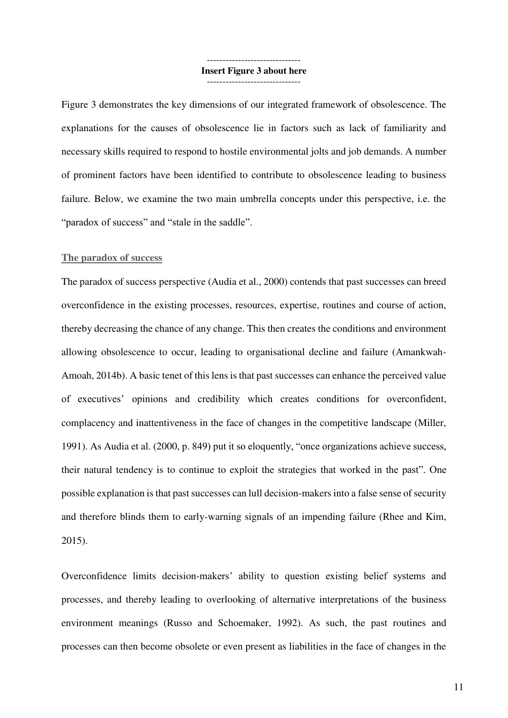### ------------------------------ **Insert Figure 3 about here**  ------------------------------

Figure 3 demonstrates the key dimensions of our integrated framework of obsolescence. The explanations for the causes of obsolescence lie in factors such as lack of familiarity and necessary skills required to respond to hostile environmental jolts and job demands. A number of prominent factors have been identified to contribute to obsolescence leading to business failure. Below, we examine the two main umbrella concepts under this perspective, i.e. the "paradox of success" and "stale in the saddle".

#### **The paradox of success**

The paradox of success perspective (Audia et al., 2000) contends that past successes can breed overconfidence in the existing processes, resources, expertise, routines and course of action, thereby decreasing the chance of any change. This then creates the conditions and environment allowing obsolescence to occur, leading to organisational decline and failure (Amankwah-Amoah, 2014b). A basic tenet of this lens is that past successes can enhance the perceived value of executives' opinions and credibility which creates conditions for overconfident, complacency and inattentiveness in the face of changes in the competitive landscape (Miller, 1991). As Audia et al. (2000, p. 849) put it so eloquently, "once organizations achieve success, their natural tendency is to continue to exploit the strategies that worked in the past". One possible explanation is that past successes can lull decision-makers into a false sense of security and therefore blinds them to early-warning signals of an impending failure (Rhee and Kim, 2015).

Overconfidence limits decision-makers' ability to question existing belief systems and processes, and thereby leading to overlooking of alternative interpretations of the business environment meanings (Russo and Schoemaker, 1992). As such, the past routines and processes can then become obsolete or even present as liabilities in the face of changes in the

11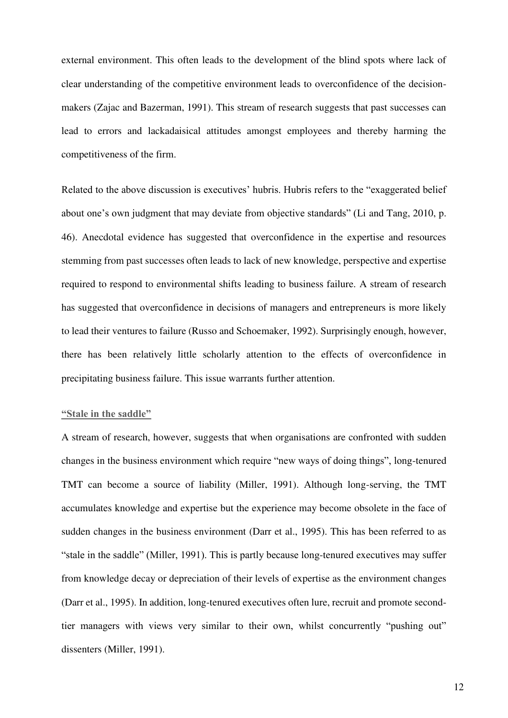external environment. This often leads to the development of the blind spots where lack of clear understanding of the competitive environment leads to overconfidence of the decisionmakers (Zajac and Bazerman, 1991). This stream of research suggests that past successes can lead to errors and lackadaisical attitudes amongst employees and thereby harming the competitiveness of the firm.

Related to the above discussion is executives' hubris. Hubris refers to the "exaggerated belief about one's own judgment that may deviate from objective standards" (Li and Tang, 2010, p. 46). Anecdotal evidence has suggested that overconfidence in the expertise and resources stemming from past successes often leads to lack of new knowledge, perspective and expertise required to respond to environmental shifts leading to business failure. A stream of research has suggested that overconfidence in decisions of managers and entrepreneurs is more likely to lead their ventures to failure (Russo and Schoemaker, 1992). Surprisingly enough, however, there has been relatively little scholarly attention to the effects of overconfidence in precipitating business failure. This issue warrants further attention.

## **"Stale in the saddle"**

A stream of research, however, suggests that when organisations are confronted with sudden changes in the business environment which require "new ways of doing things", long-tenured TMT can become a source of liability (Miller, 1991). Although long-serving, the TMT accumulates knowledge and expertise but the experience may become obsolete in the face of sudden changes in the business environment (Darr et al., 1995). This has been referred to as "stale in the saddle" (Miller, 1991). This is partly because long-tenured executives may suffer from knowledge decay or depreciation of their levels of expertise as the environment changes (Darr et al., 1995). In addition, long-tenured executives often lure, recruit and promote secondtier managers with views very similar to their own, whilst concurrently "pushing out" dissenters (Miller, 1991).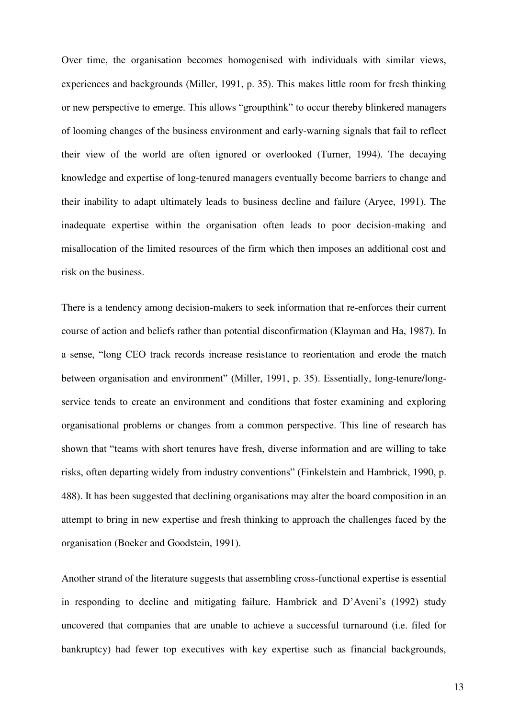Over time, the organisation becomes homogenised with individuals with similar views, experiences and backgrounds (Miller, 1991, p. 35). This makes little room for fresh thinking or new perspective to emerge. This allows "groupthink" to occur thereby blinkered managers of looming changes of the business environment and early-warning signals that fail to reflect their view of the world are often ignored or overlooked (Turner, 1994). The decaying knowledge and expertise of long-tenured managers eventually become barriers to change and their inability to adapt ultimately leads to business decline and failure (Aryee, 1991). The inadequate expertise within the organisation often leads to poor decision-making and misallocation of the limited resources of the firm which then imposes an additional cost and risk on the business.

There is a tendency among decision-makers to seek information that re-enforces their current course of action and beliefs rather than potential disconfirmation (Klayman and Ha, 1987). In a sense, "long CEO track records increase resistance to reorientation and erode the match between organisation and environment" (Miller, 1991, p. 35). Essentially, long-tenure/longservice tends to create an environment and conditions that foster examining and exploring organisational problems or changes from a common perspective. This line of research has shown that "teams with short tenures have fresh, diverse information and are willing to take risks, often departing widely from industry conventions" (Finkelstein and Hambrick, 1990, p. 488). It has been suggested that declining organisations may alter the board composition in an attempt to bring in new expertise and fresh thinking to approach the challenges faced by the organisation (Boeker and Goodstein, 1991).

Another strand of the literature suggests that assembling cross-functional expertise is essential in responding to decline and mitigating failure. Hambrick and D'Aveni's (1992) study uncovered that companies that are unable to achieve a successful turnaround (i.e. filed for bankruptcy) had fewer top executives with key expertise such as financial backgrounds,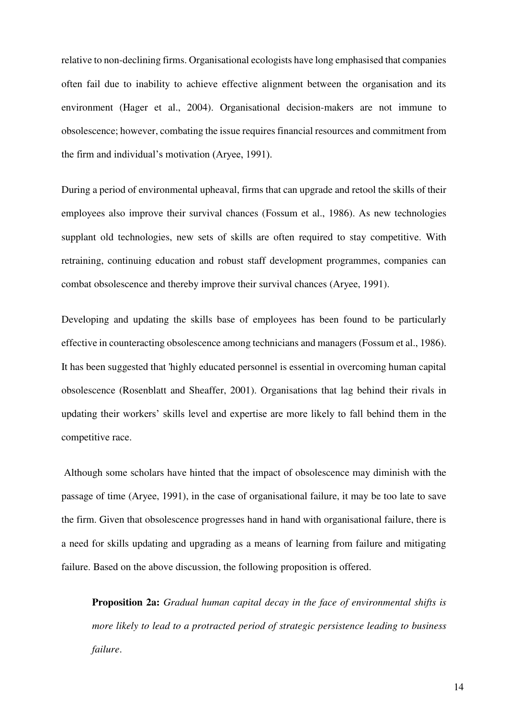relative to non-declining firms. Organisational ecologists have long emphasised that companies often fail due to inability to achieve effective alignment between the organisation and its environment (Hager et al., 2004). Organisational decision-makers are not immune to obsolescence; however, combating the issue requires financial resources and commitment from the firm and individual's motivation (Aryee, 1991).

During a period of environmental upheaval, firms that can upgrade and retool the skills of their employees also improve their survival chances (Fossum et al., 1986). As new technologies supplant old technologies, new sets of skills are often required to stay competitive. With retraining, continuing education and robust staff development programmes, companies can combat obsolescence and thereby improve their survival chances (Aryee, 1991).

Developing and updating the skills base of employees has been found to be particularly effective in counteracting obsolescence among technicians and managers (Fossum et al., 1986). It has been suggested that 'highly educated personnel is essential in overcoming human capital obsolescence (Rosenblatt and Sheaffer, 2001). Organisations that lag behind their rivals in updating their workers' skills level and expertise are more likely to fall behind them in the competitive race.

 Although some scholars have hinted that the impact of obsolescence may diminish with the passage of time (Aryee, 1991), in the case of organisational failure, it may be too late to save the firm. Given that obsolescence progresses hand in hand with organisational failure, there is a need for skills updating and upgrading as a means of learning from failure and mitigating failure. Based on the above discussion, the following proposition is offered.

**Proposition 2a:** *Gradual human capital decay in the face of environmental shifts is more likely to lead to a protracted period of strategic persistence leading to business failure*.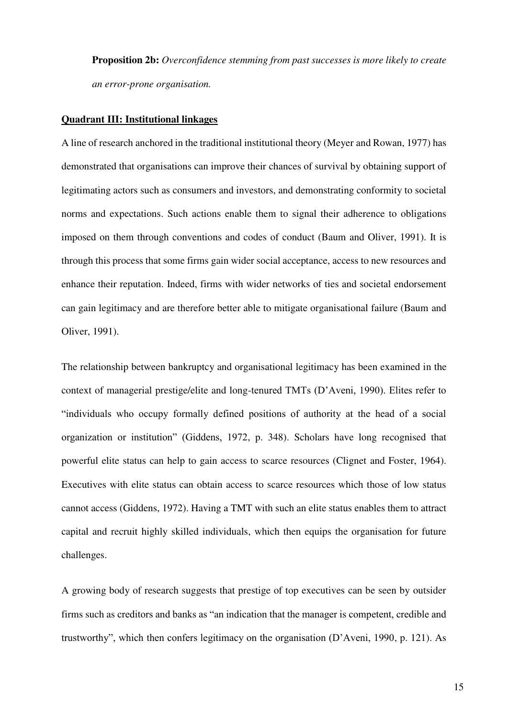**Proposition 2b:** *Overconfidence stemming from past successes is more likely to create an error-prone organisation.*

## **Quadrant III: Institutional linkages**

A line of research anchored in the traditional institutional theory (Meyer and Rowan, 1977) has demonstrated that organisations can improve their chances of survival by obtaining support of legitimating actors such as consumers and investors, and demonstrating conformity to societal norms and expectations. Such actions enable them to signal their adherence to obligations imposed on them through conventions and codes of conduct (Baum and Oliver, 1991). It is through this process that some firms gain wider social acceptance, access to new resources and enhance their reputation. Indeed, firms with wider networks of ties and societal endorsement can gain legitimacy and are therefore better able to mitigate organisational failure (Baum and Oliver, 1991).

The relationship between bankruptcy and organisational legitimacy has been examined in the context of managerial prestige/elite and long-tenured TMTs (D'Aveni, 1990). Elites refer to "individuals who occupy formally defined positions of authority at the head of a social organization or institution" (Giddens, 1972, p. 348). Scholars have long recognised that powerful elite status can help to gain access to scarce resources (Clignet and Foster, 1964). Executives with elite status can obtain access to scarce resources which those of low status cannot access (Giddens, 1972). Having a TMT with such an elite status enables them to attract capital and recruit highly skilled individuals, which then equips the organisation for future challenges.

A growing body of research suggests that prestige of top executives can be seen by outsider firms such as creditors and banks as "an indication that the manager is competent, credible and trustworthy", which then confers legitimacy on the organisation (D'Aveni, 1990, p. 121). As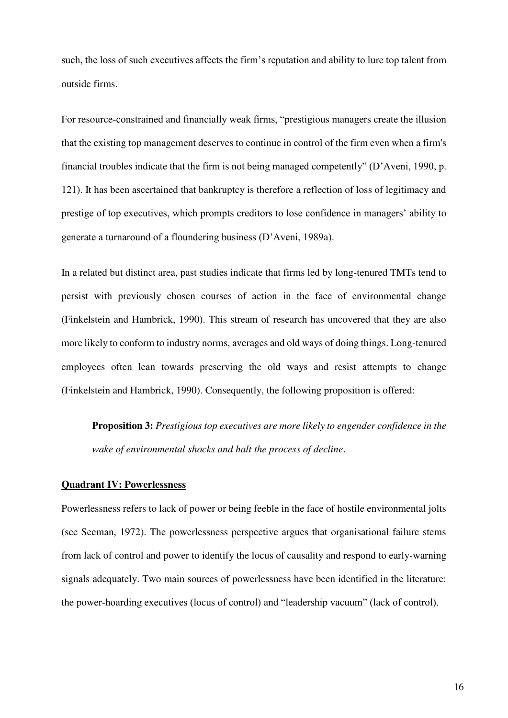such, the loss of such executives affects the firm's reputation and ability to lure top talent from outside firms.

For resource-constrained and financially weak firms, "prestigious managers create the illusion that the existing top management deserves to continue in control of the firm even when a firm's financial troubles indicate that the firm is not being managed competently" (D'Aveni, 1990, p. 121). It has been ascertained that bankruptcy is therefore a reflection of loss of legitimacy and prestige of top executives, which prompts creditors to lose confidence in managers' ability to generate a turnaround of a floundering business (D'Aveni, 1989a).

In a related but distinct area, past studies indicate that firms led by long-tenured TMTs tend to persist with previously chosen courses of action in the face of environmental change (Finkelstein and Hambrick, 1990). This stream of research has uncovered that they are also more likely to conform to industry norms, averages and old ways of doing things. Long-tenured employees often lean towards preserving the old ways and resist attempts to change (Finkelstein and Hambrick, 1990). Consequently, the following proposition is offered:

**Proposition 3:** *Prestigious top executives are more likely to engender confidence in the wake of environmental shocks and halt the process of decline*.

## **Quadrant IV: Powerlessness**

Powerlessness refers to lack of power or being feeble in the face of hostile environmental jolts (see Seeman, 1972). The powerlessness perspective argues that organisational failure stems from lack of control and power to identify the locus of causality and respond to early-warning signals adequately. Two main sources of powerlessness have been identified in the literature: the power-hoarding executives (locus of control) and "leadership vacuum" (lack of control).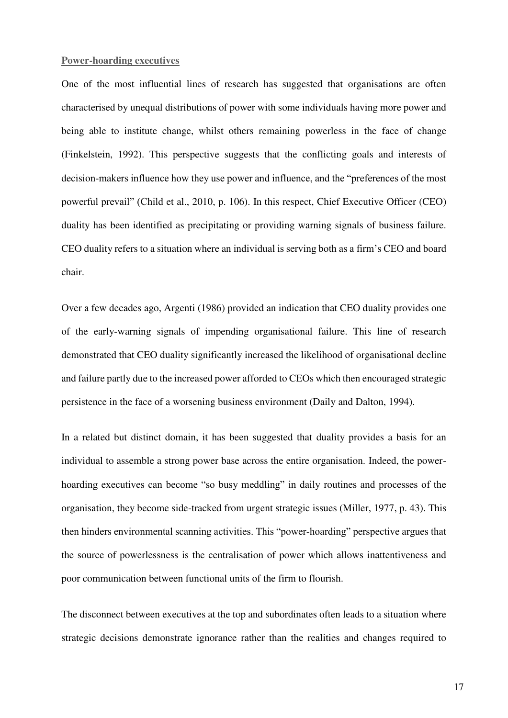## **Power-hoarding executives**

One of the most influential lines of research has suggested that organisations are often characterised by unequal distributions of power with some individuals having more power and being able to institute change, whilst others remaining powerless in the face of change (Finkelstein, 1992). This perspective suggests that the conflicting goals and interests of decision-makers influence how they use power and influence, and the "preferences of the most powerful prevail" (Child et al., 2010, p. 106). In this respect, Chief Executive Officer (CEO) duality has been identified as precipitating or providing warning signals of business failure. CEO duality refers to a situation where an individual is serving both as a firm's CEO and board chair.

Over a few decades ago, Argenti (1986) provided an indication that CEO duality provides one of the early-warning signals of impending organisational failure. This line of research demonstrated that CEO duality significantly increased the likelihood of organisational decline and failure partly due to the increased power afforded to CEOs which then encouraged strategic persistence in the face of a worsening business environment (Daily and Dalton, 1994).

In a related but distinct domain, it has been suggested that duality provides a basis for an individual to assemble a strong power base across the entire organisation. Indeed, the powerhoarding executives can become "so busy meddling" in daily routines and processes of the organisation, they become side-tracked from urgent strategic issues (Miller, 1977, p. 43). This then hinders environmental scanning activities. This "power-hoarding" perspective argues that the source of powerlessness is the centralisation of power which allows inattentiveness and poor communication between functional units of the firm to flourish.

The disconnect between executives at the top and subordinates often leads to a situation where strategic decisions demonstrate ignorance rather than the realities and changes required to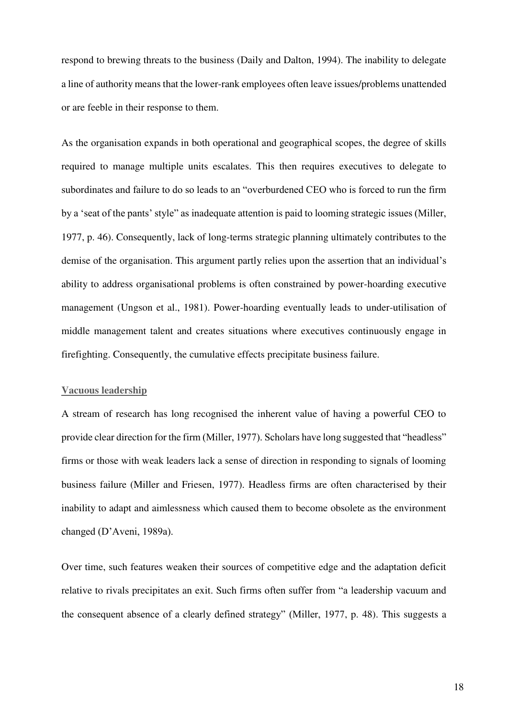respond to brewing threats to the business (Daily and Dalton, 1994). The inability to delegate a line of authority means that the lower-rank employees often leave issues/problems unattended or are feeble in their response to them.

As the organisation expands in both operational and geographical scopes, the degree of skills required to manage multiple units escalates. This then requires executives to delegate to subordinates and failure to do so leads to an "overburdened CEO who is forced to run the firm by a 'seat of the pants' style" as inadequate attention is paid to looming strategic issues (Miller, 1977, p. 46). Consequently, lack of long-terms strategic planning ultimately contributes to the demise of the organisation. This argument partly relies upon the assertion that an individual's ability to address organisational problems is often constrained by power-hoarding executive management (Ungson et al., 1981). Power-hoarding eventually leads to under-utilisation of middle management talent and creates situations where executives continuously engage in firefighting. Consequently, the cumulative effects precipitate business failure.

## **Vacuous leadership**

A stream of research has long recognised the inherent value of having a powerful CEO to provide clear direction for the firm (Miller, 1977). Scholars have long suggested that "headless" firms or those with weak leaders lack a sense of direction in responding to signals of looming business failure (Miller and Friesen, 1977). Headless firms are often characterised by their inability to adapt and aimlessness which caused them to become obsolete as the environment changed (D'Aveni, 1989a).

Over time, such features weaken their sources of competitive edge and the adaptation deficit relative to rivals precipitates an exit. Such firms often suffer from "a leadership vacuum and the consequent absence of a clearly defined strategy" (Miller, 1977, p. 48). This suggests a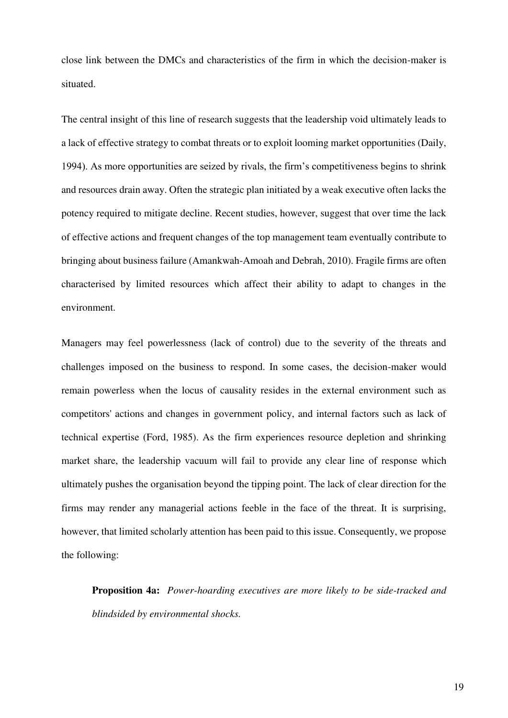close link between the DMCs and characteristics of the firm in which the decision-maker is situated.

The central insight of this line of research suggests that the leadership void ultimately leads to a lack of effective strategy to combat threats or to exploit looming market opportunities (Daily, 1994). As more opportunities are seized by rivals, the firm's competitiveness begins to shrink and resources drain away. Often the strategic plan initiated by a weak executive often lacks the potency required to mitigate decline. Recent studies, however, suggest that over time the lack of effective actions and frequent changes of the top management team eventually contribute to bringing about business failure (Amankwah-Amoah and Debrah, 2010). Fragile firms are often characterised by limited resources which affect their ability to adapt to changes in the environment.

Managers may feel powerlessness (lack of control) due to the severity of the threats and challenges imposed on the business to respond. In some cases, the decision-maker would remain powerless when the locus of causality resides in the external environment such as competitors' actions and changes in government policy, and internal factors such as lack of technical expertise (Ford, 1985). As the firm experiences resource depletion and shrinking market share, the leadership vacuum will fail to provide any clear line of response which ultimately pushes the organisation beyond the tipping point. The lack of clear direction for the firms may render any managerial actions feeble in the face of the threat. It is surprising, however, that limited scholarly attention has been paid to this issue. Consequently, we propose the following:

**Proposition 4a:** *Power-hoarding executives are more likely to be side-tracked and blindsided by environmental shocks.*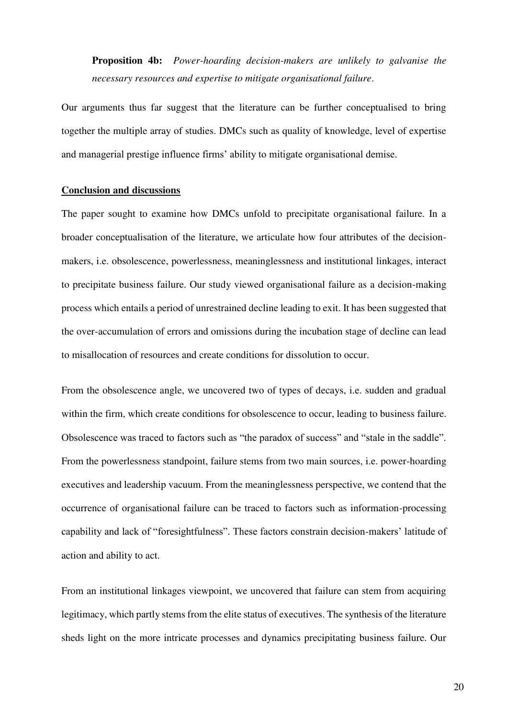**Proposition 4b:** *Power-hoarding decision-makers are unlikely to galvanise the necessary resources and expertise to mitigate organisational failure*.

Our arguments thus far suggest that the literature can be further conceptualised to bring together the multiple array of studies. DMCs such as quality of knowledge, level of expertise and managerial prestige influence firms' ability to mitigate organisational demise.

## **Conclusion and discussions**

The paper sought to examine how DMCs unfold to precipitate organisational failure. In a broader conceptualisation of the literature, we articulate how four attributes of the decisionmakers, i.e. obsolescence, powerlessness, meaninglessness and institutional linkages, interact to precipitate business failure. Our study viewed organisational failure as a decision-making process which entails a period of unrestrained decline leading to exit. It has been suggested that the over-accumulation of errors and omissions during the incubation stage of decline can lead to misallocation of resources and create conditions for dissolution to occur.

From the obsolescence angle, we uncovered two of types of decays, i.e. sudden and gradual within the firm, which create conditions for obsolescence to occur, leading to business failure. Obsolescence was traced to factors such as "the paradox of success" and "stale in the saddle". From the powerlessness standpoint, failure stems from two main sources, i.e. power-hoarding executives and leadership vacuum. From the meaninglessness perspective, we contend that the occurrence of organisational failure can be traced to factors such as information-processing capability and lack of "foresightfulness". These factors constrain decision-makers' latitude of action and ability to act.

From an institutional linkages viewpoint, we uncovered that failure can stem from acquiring legitimacy, which partly stems from the elite status of executives. The synthesis of the literature sheds light on the more intricate processes and dynamics precipitating business failure. Our

20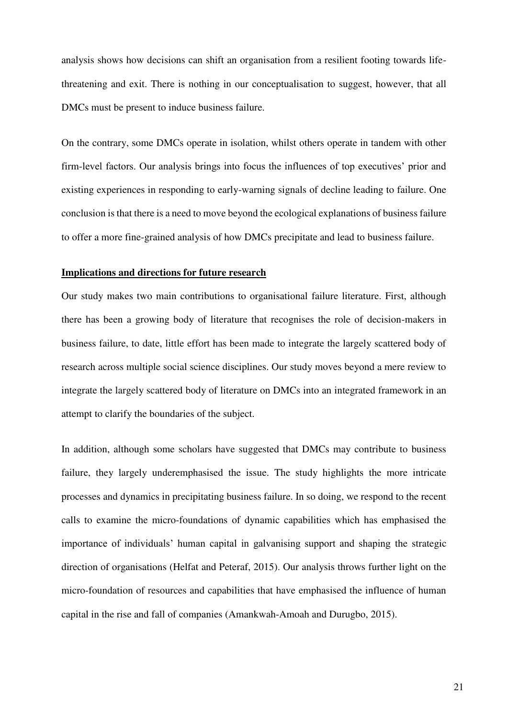analysis shows how decisions can shift an organisation from a resilient footing towards lifethreatening and exit. There is nothing in our conceptualisation to suggest, however, that all DMCs must be present to induce business failure.

On the contrary, some DMCs operate in isolation, whilst others operate in tandem with other firm-level factors. Our analysis brings into focus the influences of top executives' prior and existing experiences in responding to early-warning signals of decline leading to failure. One conclusion is that there is a need to move beyond the ecological explanations of business failure to offer a more fine-grained analysis of how DMCs precipitate and lead to business failure.

### **Implications and directions for future research**

Our study makes two main contributions to organisational failure literature. First, although there has been a growing body of literature that recognises the role of decision-makers in business failure, to date, little effort has been made to integrate the largely scattered body of research across multiple social science disciplines. Our study moves beyond a mere review to integrate the largely scattered body of literature on DMCs into an integrated framework in an attempt to clarify the boundaries of the subject.

In addition, although some scholars have suggested that DMCs may contribute to business failure, they largely underemphasised the issue. The study highlights the more intricate processes and dynamics in precipitating business failure. In so doing, we respond to the recent calls to examine the micro-foundations of dynamic capabilities which has emphasised the importance of individuals' human capital in galvanising support and shaping the strategic direction of organisations (Helfat and Peteraf, 2015). Our analysis throws further light on the micro-foundation of resources and capabilities that have emphasised the influence of human capital in the rise and fall of companies (Amankwah-Amoah and Durugbo, 2015).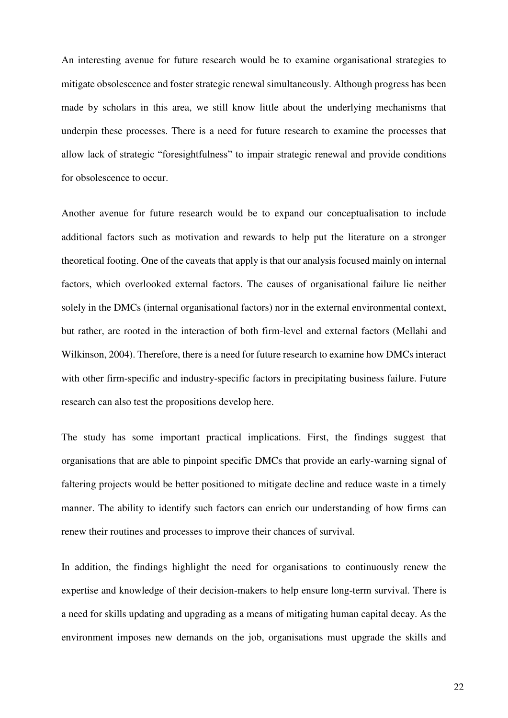An interesting avenue for future research would be to examine organisational strategies to mitigate obsolescence and foster strategic renewal simultaneously. Although progress has been made by scholars in this area, we still know little about the underlying mechanisms that underpin these processes. There is a need for future research to examine the processes that allow lack of strategic "foresightfulness" to impair strategic renewal and provide conditions for obsolescence to occur.

Another avenue for future research would be to expand our conceptualisation to include additional factors such as motivation and rewards to help put the literature on a stronger theoretical footing. One of the caveats that apply is that our analysis focused mainly on internal factors, which overlooked external factors. The causes of organisational failure lie neither solely in the DMCs (internal organisational factors) nor in the external environmental context, but rather, are rooted in the interaction of both firm-level and external factors (Mellahi and Wilkinson, 2004). Therefore, there is a need for future research to examine how DMCs interact with other firm-specific and industry-specific factors in precipitating business failure. Future research can also test the propositions develop here.

The study has some important practical implications. First, the findings suggest that organisations that are able to pinpoint specific DMCs that provide an early-warning signal of faltering projects would be better positioned to mitigate decline and reduce waste in a timely manner. The ability to identify such factors can enrich our understanding of how firms can renew their routines and processes to improve their chances of survival.

In addition, the findings highlight the need for organisations to continuously renew the expertise and knowledge of their decision-makers to help ensure long-term survival. There is a need for skills updating and upgrading as a means of mitigating human capital decay. As the environment imposes new demands on the job, organisations must upgrade the skills and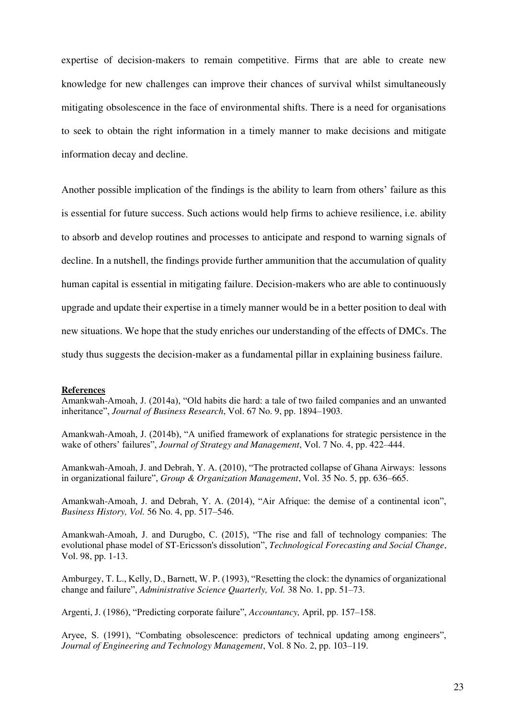expertise of decision-makers to remain competitive. Firms that are able to create new knowledge for new challenges can improve their chances of survival whilst simultaneously mitigating obsolescence in the face of environmental shifts. There is a need for organisations to seek to obtain the right information in a timely manner to make decisions and mitigate information decay and decline.

Another possible implication of the findings is the ability to learn from others' failure as this is essential for future success. Such actions would help firms to achieve resilience, i.e. ability to absorb and develop routines and processes to anticipate and respond to warning signals of decline. In a nutshell, the findings provide further ammunition that the accumulation of quality human capital is essential in mitigating failure. Decision-makers who are able to continuously upgrade and update their expertise in a timely manner would be in a better position to deal with new situations. We hope that the study enriches our understanding of the effects of DMCs. The study thus suggests the decision-maker as a fundamental pillar in explaining business failure.

#### **References**

Amankwah-Amoah, J. (2014a), "Old habits die hard: a tale of two failed companies and an unwanted inheritance", *Journal of Business Research*, Vol. 67 No. 9, pp. 1894–1903.

Amankwah-Amoah, J. (2014b), "A unified framework of explanations for strategic persistence in the wake of others' failures", *Journal of Strategy and Management*, Vol. 7 No. 4, pp. 422–444.

Amankwah-Amoah, J. and Debrah, Y. A. (2010), "The protracted collapse of Ghana Airways: lessons in organizational failure", *Group & Organization Management*, Vol. 35 No. 5, pp. 636–665.

Amankwah-Amoah, J. and Debrah, Y. A. (2014), "Air Afrique: the demise of a continental icon", *Business History, Vol.* 56 No. 4, pp. 517–546.

Amankwah-Amoah, J. and Durugbo, C. (2015), "The rise and fall of technology companies: The evolutional phase model of ST-Ericsson's dissolution", *Technological Forecasting and Social Change*, Vol. 98, pp. 1-13.

Amburgey, T. L., Kelly, D., Barnett, W. P. (1993), "Resetting the clock: the dynamics of organizational change and failure", *Administrative Science Quarterly, Vol.* 38 No. 1, pp. 51–73.

Argenti, J. (1986), "Predicting corporate failure", *Accountancy,* April, pp. 157–158.

Aryee, S. (1991), "Combating obsolescence: predictors of technical updating among engineers", *Journal of Engineering and Technology Management*, Vol. 8 No. 2, pp. 103–119.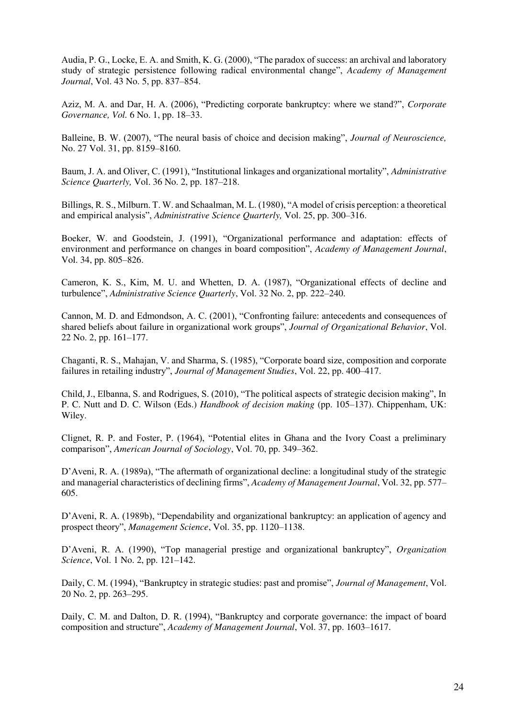Audia, P. G., Locke, E. A. and Smith, K. G. (2000), "The paradox of success: an archival and laboratory study of strategic persistence following radical environmental change", *Academy of Management Journal*, Vol. 43 No. 5, pp. 837–854.

Aziz, M. A. and Dar, H. A. (2006), "Predicting corporate bankruptcy: where we stand?", *Corporate Governance, Vol.* 6 No. 1, pp. 18–33.

Balleine, B. W. (2007), "The neural basis of choice and decision making", *Journal of Neuroscience,* No. 27 Vol. 31, pp. 8159–8160.

Baum, J. A. and Oliver, C. (1991), "Institutional linkages and organizational mortality", *Administrative Science Quarterly,* Vol. 36 No. 2, pp. 187–218.

Billings, R. S., Milburn. T. W. and Schaalman, M. L. (1980), "A model of crisis perception: a theoretical and empirical analysis", *Administrative Science Quarterly,* Vol. 25, pp. 300–316.

Boeker, W. and Goodstein, J. (1991), "Organizational performance and adaptation: effects of environment and performance on changes in board composition", *Academy of Management Journal*, Vol. 34, pp. 805–826.

Cameron, K. S., Kim, M. U. and Whetten, D. A. (1987), "Organizational effects of decline and turbulence", *Administrative Science Quarterly*, Vol. 32 No. 2, pp. 222–240.

Cannon, M. D. and Edmondson, A. C. (2001), "Confronting failure: antecedents and consequences of shared beliefs about failure in organizational work groups", *Journal of Organizational Behavior*, Vol. 22 No. 2, pp. 161–177.

Chaganti, R. S., Mahajan, V. and Sharma, S. (1985), "Corporate board size, composition and corporate failures in retailing industry", *Journal of Management Studies*, Vol. 22, pp. 400–417.

Child, J., Elbanna, S. and Rodrigues, S. (2010), "The political aspects of strategic decision making", In P. C. Nutt and D. C. Wilson (Eds.) *Handbook of decision making* (pp. 105–137). Chippenham, UK: Wiley.

Clignet, R. P. and Foster, P. (1964), "Potential elites in Ghana and the Ivory Coast a preliminary comparison", *American Journal of Sociology*, Vol. 70, pp. 349–362.

D'Aveni, R. A. (1989a), "The aftermath of organizational decline: a longitudinal study of the strategic and managerial characteristics of declining firms", *Academy of Management Journal*, Vol. 32, pp. 577– 605.

D'Aveni, R. A. (1989b), "Dependability and organizational bankruptcy: an application of agency and prospect theory", *Management Science*, Vol. 35, pp. 1120–1138.

D'Aveni, R. A. (1990), "Top managerial prestige and organizational bankruptcy", *Organization Science*, Vol. 1 No. 2, pp. 121–142.

Daily, C. M. (1994), "Bankruptcy in strategic studies: past and promise", *Journal of Management*, Vol. 20 No. 2, pp. 263–295.

Daily, C. M. and Dalton, D. R. (1994), "Bankruptcy and corporate governance: the impact of board composition and structure", *Academy of Management Journal*, Vol. 37, pp. 1603–1617.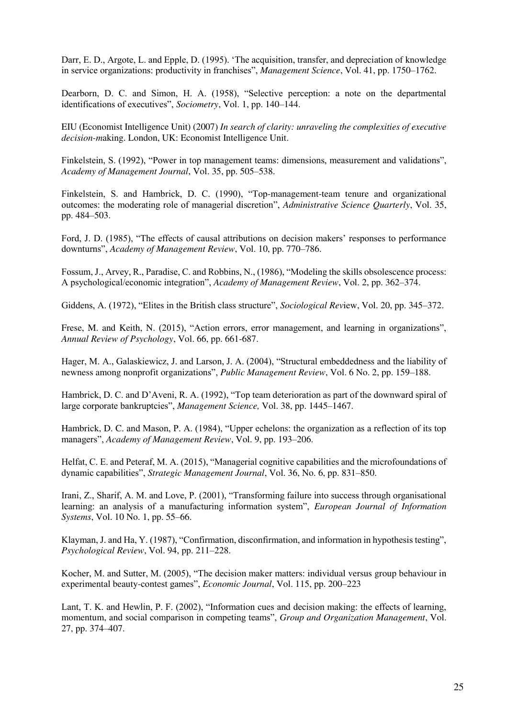Darr, E. D., Argote, L. and Epple, D. (1995). 'The acquisition, transfer, and depreciation of knowledge in service organizations: productivity in franchises", *Management Science*, Vol. 41, pp. 1750–1762.

Dearborn, D. C. and Simon, H. A. (1958), "Selective perception: a note on the departmental identifications of executives", *Sociometry*, Vol. 1, pp. 140–144.

EIU (Economist Intelligence Unit) (2007) *In search of clarity: unraveling the complexities of executive decision-m*aking. London, UK: Economist Intelligence Unit.

Finkelstein, S. (1992), "Power in top management teams: dimensions, measurement and validations", *Academy of Management Journal*, Vol. 35, pp. 505–538.

Finkelstein, S. and Hambrick, D. C. (1990), "Top-management-team tenure and organizational outcomes: the moderating role of managerial discretion", *Administrative Science Quarterly*, Vol. 35, pp. 484–503.

Ford, J. D. (1985), "The effects of causal attributions on decision makers' responses to performance downturns", *Academy of Management Review*, Vol. 10, pp. 770–786.

Fossum, J., Arvey, R., Paradise, C. and Robbins, N., (1986), "Modeling the skills obsolescence process: A psychological/economic integration", *Academy of Management Review*, Vol. 2, pp. 362–374.

Giddens, A. (1972), "Elites in the British class structure", *Sociological Rev*iew, Vol. 20, pp. 345–372.

Frese, M. and Keith, N. (2015), "Action errors, error management, and learning in organizations", *Annual Review of Psychology*, Vol. 66, pp. 661-687.

Hager, M. A., Galaskiewicz, J. and Larson, J. A. (2004), "Structural embeddedness and the liability of newness among nonprofit organizations", *Public Management Review*, Vol. 6 No. 2, pp. 159–188.

Hambrick, D. C. and D'Aveni, R. A. (1992), "Top team deterioration as part of the downward spiral of large corporate bankruptcies", *Management Science,* Vol. 38, pp. 1445–1467.

Hambrick, D. C. and Mason, P. A. (1984), "Upper echelons: the organization as a reflection of its top managers", *Academy of Management Review*, Vol. 9, pp. 193–206.

Helfat, C. E. and Peteraf, M. A. (2015), "Managerial cognitive capabilities and the microfoundations of dynamic capabilities", *Strategic Management Journal*, Vol. 36, No. 6, pp. 831–850.

Irani, Z., Sharif, A. M. and Love, P. (2001), "Transforming failure into success through organisational learning: an analysis of a manufacturing information system", *European Journal of Information Systems*, Vol. 10 No. 1, pp. 55–66.

Klayman, J. and Ha, Y. (1987), "Confirmation, disconfirmation, and information in hypothesis testing", *Psychological Review*, Vol. 94, pp. 211–228.

Kocher, M. and Sutter, M. (2005), "The decision maker matters: individual versus group behaviour in experimental beauty-contest games", *Economic Journal*, Vol. 115, pp. 200–223

Lant, T. K. and Hewlin, P. F. (2002), "Information cues and decision making: the effects of learning, momentum, and social comparison in competing teams", *Group and Organization Management*, Vol. 27, pp. 374–407.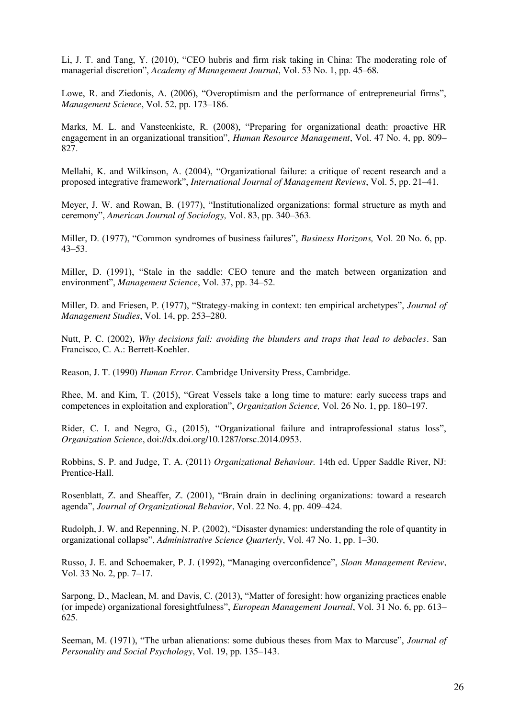Li, J. T. and Tang, Y. (2010), "CEO hubris and firm risk taking in China: The moderating role of managerial discretion", *Academy of Management Journal*, Vol. 53 No. 1, pp. 45–68.

Lowe, R. and Ziedonis, A. (2006), "Overoptimism and the performance of entrepreneurial firms", *Management Science*, Vol. 52, pp. 173–186.

Marks, M. L. and Vansteenkiste, R. (2008), "Preparing for organizational death: proactive HR engagement in an organizational transition", *Human Resource Management*, Vol. 47 No. 4, pp. 809– 827.

Mellahi, K. and Wilkinson, A. (2004), "Organizational failure: a critique of recent research and a proposed integrative framework", *International Journal of Management Reviews*, Vol. 5, pp. 21–41.

Meyer, J. W. and Rowan, B. (1977), "Institutionalized organizations: formal structure as myth and ceremony", *American Journal of Sociology,* Vol. 83, pp. 340–363.

Miller, D. (1977), "Common syndromes of business failures", *Business Horizons,* Vol. 20 No. 6, pp. 43–53.

Miller, D. (1991), "Stale in the saddle: CEO tenure and the match between organization and environment", *Management Science*, Vol. 37, pp. 34–52.

Miller, D. and Friesen, P. (1977), "Strategy-making in context: ten empirical archetypes", *Journal of Management Studies*, Vol. 14, pp. 253–280.

Nutt, P. C. (2002), *Why decisions fail: avoiding the blunders and traps that lead to debacles*. San Francisco, C. A.: Berrett-Koehler.

Reason, J. T. (1990) *Human Error*. Cambridge University Press, Cambridge.

Rhee, M. and Kim, T. (2015), "Great Vessels take a long time to mature: early success traps and competences in exploitation and exploration", *Organization Science,* Vol. 26 No. 1, pp. 180–197.

Rider, C. I. and Negro, G., (2015), "Organizational failure and intraprofessional status loss", *Organization Science*, doi://dx.doi.org/10.1287/orsc.2014.0953.

Robbins, S. P. and Judge, T. A. (2011) *Organizational Behaviour.* 14th ed. Upper Saddle River, NJ: Prentice-Hall.

Rosenblatt, Z. and Sheaffer, Z. (2001), "Brain drain in declining organizations: toward a research agenda", *Journal of Organizational Behavior*, Vol. 22 No. 4, pp. 409–424.

Rudolph, J. W. and Repenning, N. P. (2002), "Disaster dynamics: understanding the role of quantity in organizational collapse", *Administrative Science Quarterly*, Vol. 47 No. 1, pp. 1–30.

Russo, J. E. and Schoemaker, P. J. (1992), "Managing overconfidence", *Sloan Management Review*, Vol. 33 No. 2, pp. 7–17.

Sarpong, D., Maclean, M. and Davis, C. (2013), "Matter of foresight: how organizing practices enable (or impede) organizational foresightfulness", *European Management Journal*, Vol. 31 No. 6, pp. 613– 625.

Seeman, M. (1971), "The urban alienations: some dubious theses from Max to Marcuse", *Journal of Personality and Social Psychology*, Vol. 19, pp. 135–143.